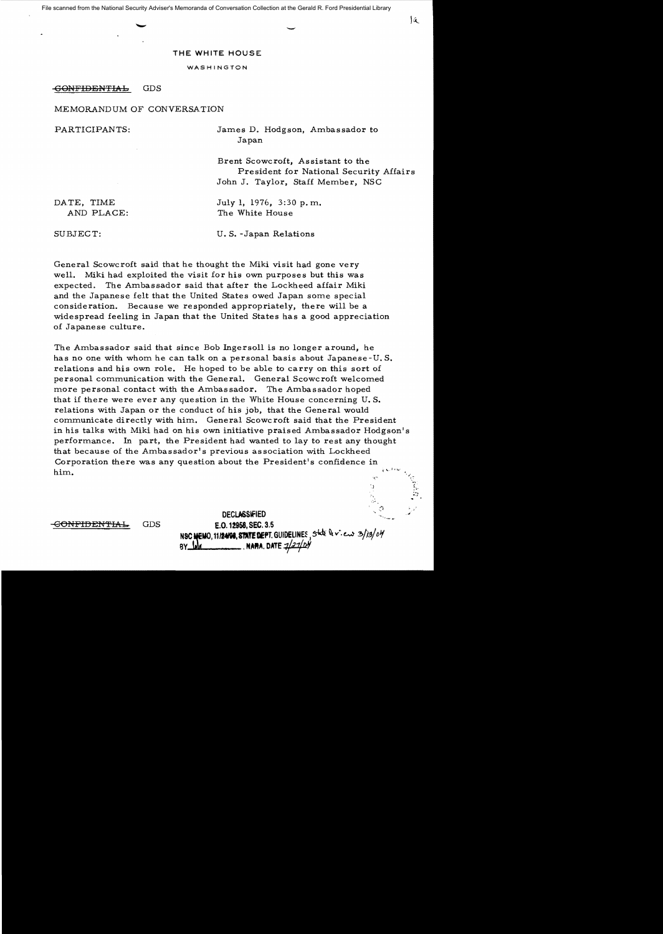File scanned from the National Security Adviser's Memoranda of Conversation Collection at the Gerald R. Ford Presidential Library

#### THE WHITE HOUSE

#### WASHINGTON

GONFIDENTIAL GDS

MEMORANDUM OF CONVERSATION

PARTICIPANTS: James D. Hodgson, Ambassador to Japan

-

Brent Scowcroft, Assistant to the President for National Security Affairs John J. Taylor, Staff Member, NSC

 $\mathcal{L}^-$ 

DATE, TIME  $July 1, 1976, 3:30 p.m.$ AND PLACE: The White House

SUBJECT: U. S. -Japan Relations

General Scowcroft said that he thought the Miki visit had gone very well. Miki had exploited the visit for his own purposes but this was expected. The Ambassador said that after the Lockheed affair Miki and the Japanese felt that the United States owed Japan some special consideration. Because we responded appropriately, there will be a widespread feeling in Japan that the United States has a good appreciation of Japanese culture.

The Ambassador said that since Bob Ingersoll is no longer around, he has no one with whom he can talk on a personal basis about Japanese-U.S. relations and his own role. He hoped to be able to carryon this sort of personal communication with the General. General Scowcroft welcomed more personal contact with the Ambassador. The Ambassador hoped that if there were ever any question in the White House concerning U. S. relations with Japan or the conduct of his job, that the General would communicate directly with him. General Scowcroft said that the President in his talks with Miki had on his own initiative praised Ambassador Hodgson's performance. In part, the President had wanted to lay to rest any thought that because of the Ambassador's previous association with Lockheed Corporation there was any question about the President's confidence in him..

**DECLASSIFIED**  $\overline{S}$ **ONFIDENTIAL:** GDS E.O. 12958. SEC. 3.5 RSC NEMO, 11124198, STATE DEPT. GUIDELINES, State le v<sup>r</sup>. en 3/13/04 NSC MEMU, 11/**24/98, STATE BET** 1. GUIDELI<br>BY MALL **MARTA. DATE** 2/2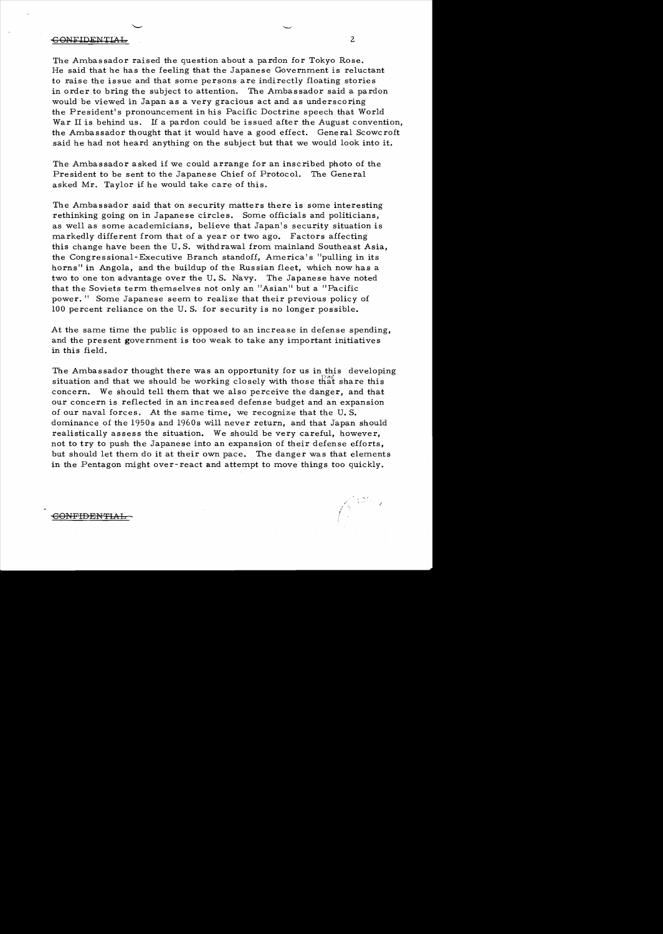### $G/N$ FIDENTIAL $\,$  2

The Ambas sador raised the question about a pardon for Tokyo Rose. He said that he has the feeling that the Japanese Government is reluctant to raise the issue and that some persons are indirectly floating stories in order to bring the subject to attention. The Ambassador said a pardon would be viewed in Japan as a very gracious act and as underscoring the President's pronouncement in his Pacific Doctrine speech that World War II is behind us. If a pardon could be issued after the August convention, the Ambassador thought that it would have a good effect. General Scowcroft said he had not heard anything on the subject but that we would look into it.

The Ambassador asked if we could arrange for an inscribed photo of the President to be sent to the Japanese Chief of Protocol. The General asked Mr. Taylor if he would take care of this.

The Ambassador said that on security matters there is some interesting rethinking going on in Japanese circles. Some officials and politicians, as well as some academicians, believe that Japan's security situation is markedly different from that of a year or two ago. Factors affecting this change have been the U. S. withdrawal from mainland Southeast Asia, the Congressional-Executive Branch standoff, America's "pulling in its horns" in Angola, and the buildup of the Russian fleet, which now has a two to one ton advantage over the U. S. Navy. The Japanese have noted that the Soviets term themselves not only an "Asian" but a "Pacific power." Some Japanese seem to realize that their previous policy of 100 percent reliance on the U. S. for security is no longer possible.

At the same time the public is opposed to an increase in defense spending, and the present government is too weak to take any important initiatives in this field.

The Ambassador thought there was an opportunity for us in this developing situation and that we should be working closely with those that share this concern. We should tell them that we also perceive the danger, and that our concern is reflected in an increased defense budget and an expansion of our naval forces. At the same time, we recognize that the U. S. dominance of the 1950s and 1960s will never return, and that Japan should realistically assess the situation. We should be very careful, however, not to try to push the Japanese into an expansion of their defense efforts, but should let them do it at their own pace. The danger was that elements in the Pentagon might over-react and attempt to move things too quickly.

/ /

GONFIDEN'l'IA.b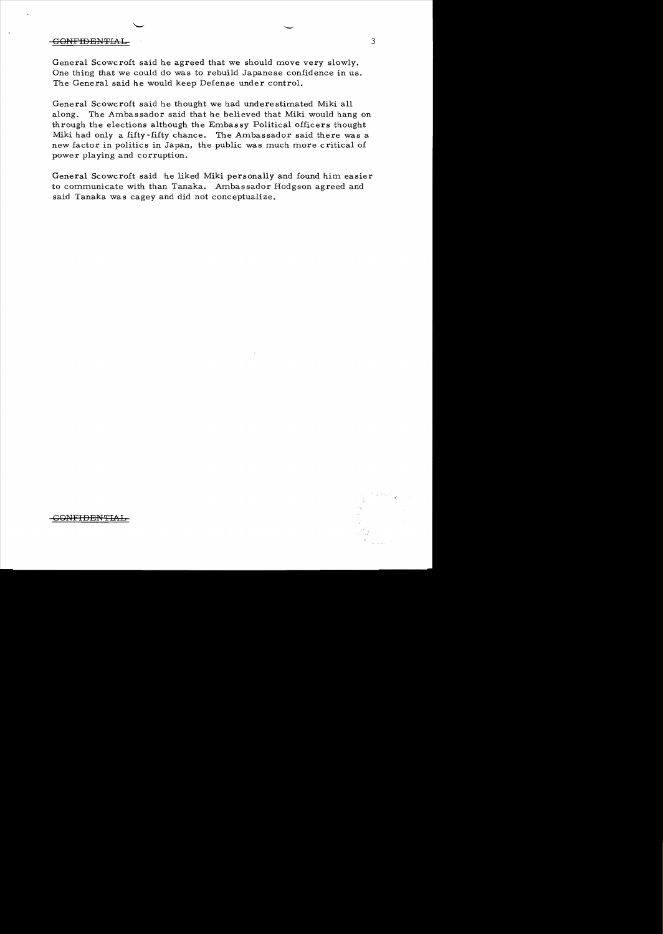## GONPIDENTIA,t. 3

General Scowcroft said he agreed that we should move very slowly. One thing that we could do was to rebuild Japanese confidence in us. The General said he would keep Defense under control.

General Scowcroft said he thought we had underestimated Miki all along. The Ambassador said that he believed that Miki would hang on through the elections although the Embassy Political officers thought Miki had only a fifty-fifty chance. The Ambassador said there was a new factor in politics in Japan, the public was much more critical of power playing and corruption.

General Scowcroft said he liked Miki personally and found him easier to communicate with than Tanaka. Ambassador Hodgson agreed and said Tanaka was cagey and did not conceptualize.

<u> CONFIDENTIAL</u>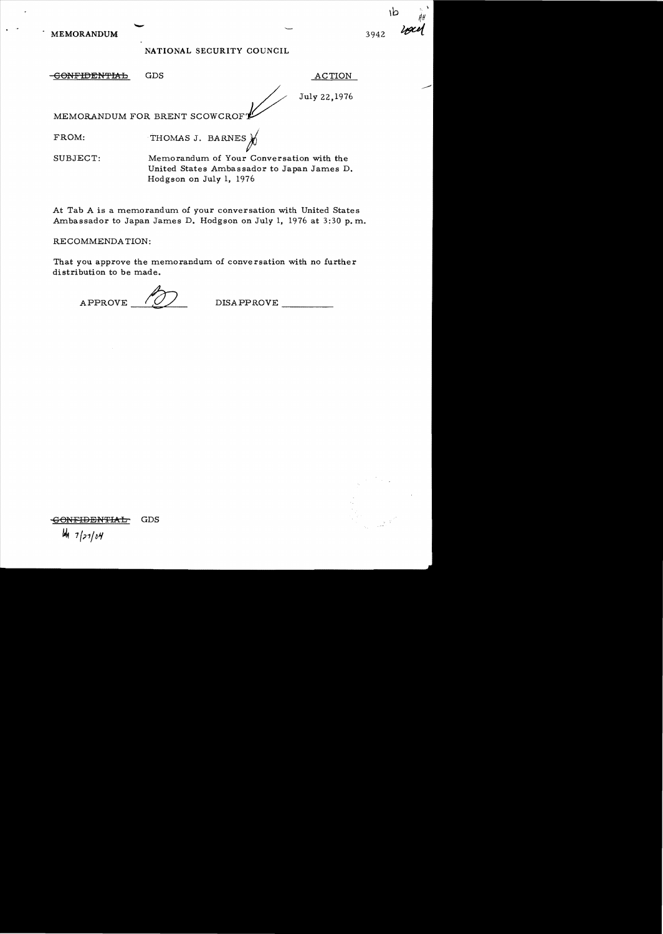MEMORANDUM 3942

# NATIONAL SECURITY COUNCIL

|          | GDS                                                                                                               | <b>ACTION</b> |
|----------|-------------------------------------------------------------------------------------------------------------------|---------------|
|          |                                                                                                                   | July 22,1976  |
|          | MEMORANDUM FOR BRENT SCOWCROFT                                                                                    |               |
| FROM:    | THOMAS J. BARNES                                                                                                  |               |
| SUBJECT: | Memorandum of Your Conversation with the<br>United States Ambassador to Japan James D.<br>Hodgson on July 1, 1976 |               |

At Tab A is a memorandum of your conversation with United States Ambassador to Japan James D. Hodgson on July I, 1976 at 3:30 p. m.

RECOMMENDATION:

That you approve the memorandum of conversation with no further distribution to be made.

 $APPROVE$   $\left(\frac{1}{2}\right)$  DISAPPROVE



۱b

GONFIDENTIAL GDS  $44$   $7/27/04$